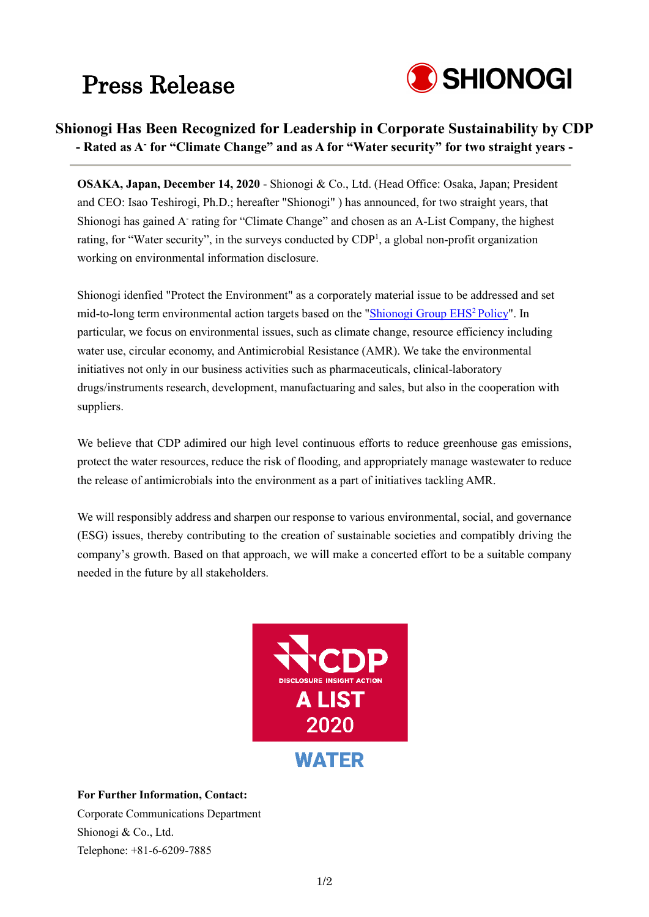# Press Release



## **Shionogi Has Been Recognized for Leadership in Corporate Sustainability by CDP - Rated as A- for "Climate Change" and as A for "Water security" for two straight years -**

**OSAKA, Japan, December 14, 2020** - Shionogi & Co., Ltd. (Head Office: Osaka, Japan; President and CEO: Isao Teshirogi, Ph.D.; hereafter "Shionogi" ) has announced, for two straight years, that Shionogi has gained A- rating for "Climate Change" and chosen as an A-List Company, the highest rating, for "Water security", in the surveys conducted by CDP<sup>1</sup>, a global non-profit organization working on environmental information disclosure.

Shionogi idenfied "Protect the Environment" as a corporately material issue to be addressed and set mid-to-long term environmental action targets based on the ["Shionogi Group EHS2](http://www.shionogi.co.jp/en/company/policy/ehs.html) Policy". In particular, we focus on environmental issues, such as climate change, resource efficiency including water use, circular economy, and Antimicrobial Resistance (AMR). We take the environmental initiatives not only in our business activities such as pharmaceuticals, clinical-laboratory drugs/instruments research, development, manufactuaring and sales, but also in the cooperation with suppliers.

We believe that CDP adimired our high level continuous efforts to reduce greenhouse gas emissions, protect the water resources, reduce the risk of flooding, and appropriately manage wastewater to reduce the release of antimicrobials into the environment as a part of initiatives tackling AMR.

We will responsibly address and sharpen our response to various environmental, social, and governance (ESG) issues, thereby contributing to the creation of sustainable societies and compatibly driving the company's growth. Based on that approach, we will make a concerted effort to be a suitable company needed in the future by all stakeholders.



#### **For Further Information, Contact:**

Corporate Communications Department Shionogi & Co., Ltd. Telephone: +81-6-6209-7885